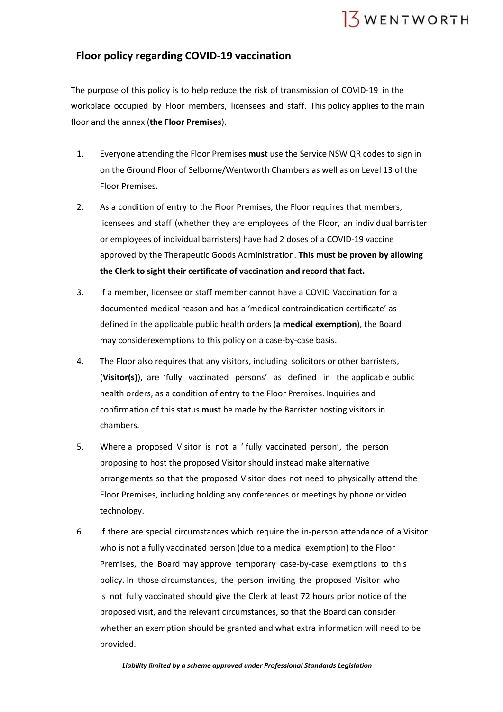

## **Floor policy regarding COVID-19 vaccination**

The purpose of this policy is to help reduce the risk of transmission of COVID-19 in the workplace occupied by Floor members, licensees and staff. This policy applies to the main floor and the annex (**the Floor Premises**).

- 1. Everyone attending the Floor Premises **must** use the Service NSW QR codes to sign in on the Ground Floor of Selborne/Wentworth Chambers as well as on Level 13 of the Floor Premises.
- 2. As a condition of entry to the Floor Premises, the Floor requires that members, licensees and staff (whether they are employees of the Floor, an individual barrister or employees of individual barristers) have had 2 doses of a COVID-19 vaccine approved by the Therapeutic Goods Administration. **This must be proven by allowing the Clerk to sight their certificate of vaccination and record that fact.**
- 3. If a member, licensee or staff member cannot have a COVID Vaccination for a documented medical reason and has a 'medical contraindication certificate' as defined in the applicable public health orders (**a medical exemption**), the Board may considerexemptions to this policy on a case-by-case basis.
- 4. The Floor also requires that any visitors, including solicitors or other barristers, (**Visitor(s)**), are 'fully vaccinated persons' as defined in the applicable public health orders, as a condition of entry to the Floor Premises. Inquiries and confirmation of this status **must** be made by the Barrister hosting visitors in chambers.
- 5. Where a proposed Visitor is not a ' fully vaccinated person', the person proposing to host the proposed Visitor should instead make alternative arrangements so that the proposed Visitor does not need to physically attend the Floor Premises, including holding any conferences or meetings by phone or video technology.
- 6. If there are special circumstances which require the in-person attendance of a Visitor who is not a fully vaccinated person (due to a medical exemption) to the Floor Premises, the Board may approve temporary case-by-case exemptions to this policy. In those circumstances, the person inviting the proposed Visitor who is not fully vaccinated should give the Clerk at least 72 hours prior notice of the proposed visit, and the relevant circumstances, so that the Board can consider whether an exemption should be granted and what extra information will need to be provided.